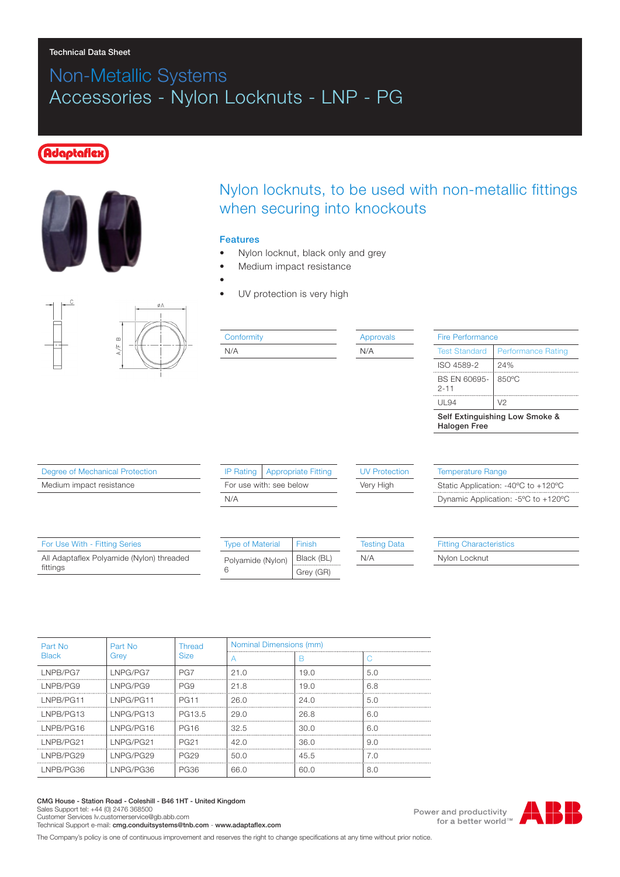#### Technical Data Sheet

# Non-Metallic Systems Accessories - Nylon Locknuts - LNP - PG

## **Idaptaflex**



## Nylon locknuts, to be used with non-metallic fittings when securing into knockouts

#### Features

- Nylon locknut, black only and grey
- Medium impact resistance
- •

N/A

UV protection is very high



#### **Conformity**

Approvals N/A

| Fire Performance                                      |                           |  |  |
|-------------------------------------------------------|---------------------------|--|--|
| <b>Test Standard</b>                                  | <b>Performance Rating</b> |  |  |
| ISO 4589-2                                            | 24%                       |  |  |
| BS EN 60695-<br>$2 - 11$                              | 850°C                     |  |  |
| UL 94                                                 | V2                        |  |  |
| Self Extinguishing Low Smoke &<br><b>Halogen Free</b> |                           |  |  |

Degree of Mechanical Protection

Medium impact resistance

|                         | IP Rating   Appropriate Fitting |  |  |
|-------------------------|---------------------------------|--|--|
| For use with: see below |                                 |  |  |
| N/A                     |                                 |  |  |

### UV Protection

Very High

Temperature Range Static Application: -40ºC to +120ºC Dynamic Application: -5ºC to +120ºC

| For Use With - Fitting Series                         | <b>Type of Material</b> | Finish     | <b>Testing Data</b> | <b>Fitting Characteristics</b> |
|-------------------------------------------------------|-------------------------|------------|---------------------|--------------------------------|
| All Adaptaflex Polyamide (Nylon) threaded<br>fittings | Polyamide (Nylon)       | Black (BL) | N/A                 | Nylon Locknut                  |
|                                                       |                         | Grey (GR)  |                     |                                |

| Part No      | Part No   | <b>Thread</b>    | Nominal Dimensions (mm) |      |     |
|--------------|-----------|------------------|-------------------------|------|-----|
| <b>Black</b> | Grev      | <b>Size</b>      |                         | R    |     |
| LNPB/PG7     | LNPG/PG7  | PG7              | 21.0                    | 19.0 | 5.0 |
| LNPB/PG9     | INPG/PG9  | PG9              | 21.8                    | 19.0 | 6.8 |
| LNPB/PG11    | INPG/PG11 | <b>PG11</b>      | 26.0                    | 24.0 | 5.0 |
| LNPB/PG13    | LNPG/PG13 | PG13.5           | 29.0                    | 26.8 | 6.0 |
| LNPB/PG16    | INPG/PG16 | <b>PG16</b>      | 32.5                    | 30.0 | 6.0 |
| LNPB/PG21    | INPG/PG21 | <b>PG21</b>      | 42.0                    | 36.0 | 9.0 |
| LNPB/PG29    | INPG/PG29 | PG <sub>29</sub> | 50 O                    | 45.5 | 7.0 |
| LNPB/PG36    | LNPG/PG36 | PG36             | 66.0                    | 60.0 | 8.0 |

CMG House - Station Road - Coleshill - B46 1HT - United Kingdom Sales Support tel: +44 (0) 2476 368500 Customer Services Iv.customerservice@gb.abb.com

Technical Support e-mail: cmg.conduitsystems@tnb.com - www.adaptaflex.com

The Company's policy is one of continuous improvement and reserves the right to change specifications at any time without prior notice.

Power and productivity for a better world™